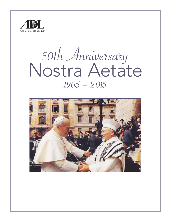

# 50th Anniversary Nostra Aetate 1965 – 2015

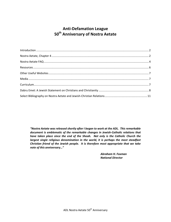# **Anti-Defamation League 50th Anniversary of Nostra Aetate**

*"Nostra Aetate was released shortly after I began to work at the ADL. This remarkable document is emblematic of the remarkable changes in Jewish-Catholic relations that have taken place since the end of the Shoah. Not only is the Catholic Church the largest single religious denomination in the world, it is perhaps the most steadfast Christian friend of the Jewish people. It is therefore most appropriate that we take note of this anniversary…"*

> *Abraham H. Foxman National Director*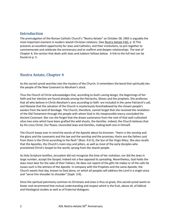# <span id="page-2-0"></span>**Introduction**

The promulgation of the Roman Catholic Church's "Nostra Aetate" on October 28, 1965 is arguably the most important moment in modern Jewish-Christian relations. (See Nostra Aetate FAQ, p. 3) This presents an excellent opportunity for Jews and Catholics, and their institutions, to join together to commemorate and celebrate the anniversary and to reaffirm and deepen relationships. The text of Chapter 4, the section that deals with Jews and Judaism follows below. A link to the full text can be found on p. 5.

# <span id="page-2-1"></span>**Nostra Aetate, Chapter 4**

As the sacred synod searches into the mystery of the Church, it remembers the bond that spiritually ties the people of the New Covenant to Abraham's stock.

Thus the Church of Christ acknowledges that, according to God's saving design, the beginnings of her faith and her election are found already among the Patriarchs, Moses and the prophets. She professes that all who believe in Christ-Abraham's sons according to faith -are included in the same Patriarch's call, and likewise that the salvation of the Church is mysteriously foreshadowed by the chosen people's exodus from the land of bondage. The Church, therefore, cannot forget that she received the revelation of the Old Testament through the people with whom God in His inexpressible mercy concluded the Ancient Covenant. Nor can she forget that she draws sustenance from the root of that well-cultivated olive tree onto which have been grafted the wild shoots, the Gentiles. Indeed, the Church believes that by His cross Christ, Our Peace, reconciled Jews and Gentiles, making both one in Himself.

The Church keeps ever in mind the words of the Apostle about his kinsmen: "theirs is the sonship and the glory and the covenants and the law and the worship and the promises; theirs are the fathers and from them is the Christ according to the flesh" (Rom. 9:4-5), the Son of the Virgin Mary. She also recalls that the Apostles, the Church's main-stay and pillars, as well as most of the early disciples who proclaimed Christ's Gospel to the world, sprang from the Jewish people.

As Holy Scripture testifies, Jerusalem did not recognize the time of her visitation, nor did the Jews in large number, accept the Gospel; indeed not a few opposed its spreading. Nevertheless, God holds the Jews most dear for the sake of their Fathers; He does not repent of the gifts He makes or of the calls He issues-such is the witness of the Apostle. In company with the Prophets and the same Apostle, the Church awaits that day, known to God alone, on which all peoples will address the Lord in a single voice and "serve him shoulder to shoulder" (Soph. 3:9).

Since the spiritual patrimony common to Christians and Jews is thus so great, this sacred synod wants to foster and recommend that mutual understanding and respect which is the fruit, above all, of biblical and theological studies as well as of fraternal dialogues.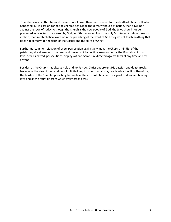True, the Jewish authorities and those who followed their lead pressed for the death of Christ; still, what happened in His passion cannot be charged against all the Jews, without distinction, then alive, nor against the Jews of today. Although the Church is the new people of God, the Jews should not be presented as rejected or accursed by God, as if this followed from the Holy Scriptures. All should see to it, then, that in catechetical work or in the preaching of the word of God they do not teach anything that does not conform to the truth of the Gospel and the spirit of Christ.

Furthermore, in her rejection of every persecution against any man, the Church, mindful of the patrimony she shares with the Jews and moved not by political reasons but by the Gospel's spiritual love, decries hatred, persecutions, displays of anti-Semitism, directed against Jews at any time and by anyone.

Besides, as the Church has always held and holds now, Christ underwent His passion and death freely, because of the sins of men and out of infinite love, in order that all may reach salvation. It is, therefore, the burden of the Church's preaching to proclaim the cross of Christ as the sign of God's all-embracing love and as the fountain from which every grace flows.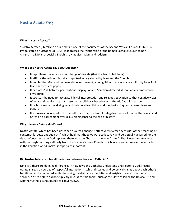# <span id="page-4-0"></span>**Nostra Aetate FAQ**

#### **What is Nostra Aetate?**

"Nostra Aetate" (literally: "in our time") is one of the documents of the Second Vatican Council (1962-1965). Promulgated on October 28, 1965, it addresses the relationship of the Roman Catholic Church to non-Christian religions, especially Buddhism, Hinduism, Islam and Judaism.

#### **What does Nostra Aetate say about Judaism?**

- It repudiates the long standing charge of deicide (that the Jews killed Jesus)
- It affirms the religious bond and spiritual legacy shared by Jews and the Church
- It implies that God and the Jews abide in covenant, a recognition that was made explicit by John Paul II and subsequent popes.
- It deplores "all hatreds, persecutions, displays of anti-Semitism directed at Jews at any time or from any source."
- It stresses the need for accurate biblical interpretation and religious education so that negative views of Jews and Judaism are not presented as biblically based or as authentic Catholic teaching
- It calls for respectful dialogue and collaborative biblical and theological inquiry between Jews and **Catholics**
- It expresses no interest in further efforts to baptize Jews. It relegates the resolution of the Jewish and Christian disagreement over Jesus' significance to the end of history.

#### **Why is Nostra Aetate significant?**

Nostra Aetate, which has been described as a "sea-change," effectively reversed centuries of the "teaching of contempt for Jews and Judaism," which held that the Jews were collectively and perpetually accursed for the death of Jesus and that God replaced them with the Church as the new "Israel." That Nostra Aetate came with very high teaching authority from the Roman Catholic Church, which in size and influence is unequalled in the Christian world, makes it especially important.

#### **Did Nostra Aetate resolve all the issues between Jews and Catholics?**

No. First, there are defining differences in how Jews and Catholics understand and relate to God. Nostra Aetate started a new age of respectful interaction in which distorted and polemical claims about each other's traditions can be corrected while cherishing the distinctive identities and insights of each community. Second, Nostra Aetate did not explicitly discuss certain topics, such as the State of Israel, the Holocaust, and whether Catholics should seek to convert Jews.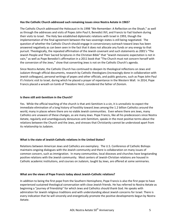#### **Has the Catholic Church addressed such remaining issues since Nostra Aetate in 1965?**

The Catholic Church addressed the Holocaust in its 1998 "We Remember: A Reflection on the Shoah," as well as through the addresses and visits of Popes John Paul II, Benedict XVI, and Francis to Yad Vashem during their visits to Israel. The Holy See established diplomatic relations with Israel in 1993, though the implementation of the final agreement between the two sovereign states is still being negotiated. The question of whether the Catholic Church should engage in conversionary outreach toward Jews has been answered negatively as can been seen in the fact that it does not allocate any funds or any energy to that pursuit. Theologically, the repeated affirmation of the Jewish covenant and such statements as 2001's "The Jewish People and Their Sacred Scriptures in the Christian Bible" that "Jewish messianic expectation is not in vain," as well as Pope Benedict's affirmation in a 2011 book that "The Church must not concern herself with the conversion of the Jews," show that converting Jews is not on the Catholic Church's agenda.

Since Nostra Aetate, the Catholic Church has continued to deepen its theological reflections on Jews and Judaism through official documents, research by Catholic theologians (increasingly done in collaboration with Jewish colleagues), personal writings of popes and other officials, and public gestures, such as Pope John Paul II's historic visit to Israel, during which he placed a prayer of repentance in the Western Wall. In 2014, Pope Francis placed a wreath on tomb of Theodore Herzl, considered the father of Zionism.

#### **Is there still anti-Semitism in the Church?**

Yes. While the official teaching of the church is that anti-Semitism is a sin, it is unrealistic to expect the immediate elimination of a long history of hostility toward Jews among the 1.2 billion Catholics around the world, many in places where there are no viable Jewish communities. Even where there are Jews, many Catholics are unaware of these changes, as are many Jews. Pope Francis, like all his predecessors since Nostra Aetate, regularly and unambiguously denounces anti-Semitism, speaks in the most positive terms about the relations between the Church and the Jews, and stresses that Christianity cannot be understood apart from its relationship to Judaism.

#### **What is the state of Jewish-Catholic relations in the United States?**

Relations between American Jews and Catholics are exemplary. The U.S. Conference of Catholic Bishops maintains ongoing dialogues with the Jewish community and there is collaboration on many issues of common concern, such as immigration. In many communities, local dioceses and churches have longstanding positive relations with the Jewish community. Most centers of Jewish-Christian relations are housed in Catholic academic institutions, and courses on Judaism, taught by Jews, are offered at some seminaries.

#### **What are the views of Pope Francis today about Jewish-Catholic relations?**

In addition to being the first pope from the Southern Hemisphere, Pope Francis is also the first pope to have experienced sustained theological conversation with close Jewish friends. He has referred to Nostra Aetate as beginning a "journey of friendship" for which Jews and Catholics should thank God. He speaks with admiration for Jewish religious traditions and with understanding about Jewish concerns for Israel. There is every indication that he will sincerely and energetically promote the positive developments begun by Nostra Aetate.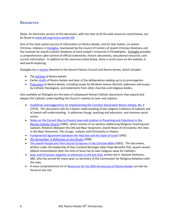# <span id="page-6-0"></span>**Resources**

[Note: An electronic version of this document, with live links to all the web resources noted below, can be found at [www.adl.org/nostra-aetate-50\]](http://www.adl.org/nostra-aetate-50)

One of the most useful sources of information on Nostra Aetate, and for that matter, on Jewish-Christian, relations is [Dialogika,](http://www.ccjr.us/dialogika-resources) maintained by the Council of Centers of Jewish-Christian Relations and the Institute for Jewish-Catholic Relations of Saint Joseph's University in Philadelphia. Dialogika provides a comprehensive cyber-archive of official statements, historic documents, educational resources, and current information. In addition to the resources listed below, there is much more on the website; it well worth exploring.

Dialogika has a [section](http://www.ccjr.us/dialogika-resources/documents-and-statements/roman-catholic/second-vatican-council) devoted to the Second Vatican Council and Nostra Aetate, which includes:

- The [full text](http://www.ccjr.us/dialogika-resources/documents-and-statements/roman-catholic/second-vatican-council/293-nostra-aetate) of Nostra Aetate
- Earlier [drafts](http://www.ccjr.us/dialogika-resources/documents-and-statements/roman-catholic/second-vatican-council/na-debate) of Nostra Aetate and texts of the deliberations leading up to its promulgation
- [Precursors](http://www.ccjr.us/dialogika-resources/documents-and-statements/roman-catholic/second-vatican-council/naprecursors) to Nostra Aetate, including essays by Abraham Joshua Heschel, addresses and essays by Catholic theologians, and statements from other churches and religious bodies.

Also available on Dialogika are the texts of subsequent Roman Catholic documents that expand and deepen the Catholic understanding the Church's relation to Jews and Judaism:

- [Guidelines and Suggestions for Implementing the Conciliar Declaration Nostra Aetate, No. 4](http://www.ccjr.us/dialogika-resources/documents-and-statements/roman-catholic/vatican-curia/277-guidelines)  (1974). This document calls for a better understanding of the religious traditions of Judaism and of Jewish self-understanding. It addresses liturgy, teaching and education, and common social action.
- Notes on the Correct Way to Present Jews and Judaism in Preaching and Catechesis in the [Roman Catholic Church](http://www.ccjr.us/dialogika-resources/documents-and-statements/roman-catholic/vatican-curia/234-notes) (1985), which consists of six sections addressing Religious Teaching and Judaism; Relations Between the Old and New Testament; Jewish Roots of Christianity; the Jews in the New Testament; The Liturgy; Judaism and Christianity in History
- [Fundamental Agreement between the Holy See and the State of Israel](http://www.ccjr.us/dialogika-resources/documents-and-statements/roman-catholic/vatican-curia/292-state-1993) (1993)
- [We Remember: A Reflection on the Shoah](http://www.ccjr.us/dialogika-resources/documents-and-statements/roman-catholic/vatican-curia/278-we-remember) (1998)
- [The Jewish People and Their Sacred Scriptures in the Christian Bible](http://www.ccjr.us/dialogika-resources/documents-and-statements/roman-catholic/vatican-curia/282-pbc-2001) (2001). This document, written under the leadership of then Cardinal Ratzinger (later Pope Benedict XVI), asserts Jewish biblical interpretation after the time of Jesus has its own religious value for Catholics
- [Jews and Christians, together as witnesses to the one God,](http://www.ccjr.us/dialogika-resources/documents-and-statements/roman-catholic/vatican-curia/1193-hofmann2013jan17) written by Fr. Norbert Hofmann, SBD, who has served for many years as Secretary of the Commission for Religious Relations with the Jews.
- A more comprehensive list o[f Resources for the 50th Anniversary of Nostra Aetate](http://www.ccjr.us/dialogika-resources/educational-and-liturgical-materials/curricula/1233-na50) can also be found on the site.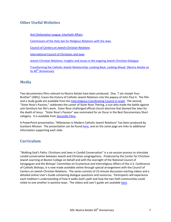# <span id="page-7-0"></span>**Other Useful Websites**

[Anti-Defamation League: Interfaith Affairs](http://www.adl.org/education-outreach/interfaith-affairs/)

[Commission of the Holy See for Religious Relations with the Jews](http://www.vatican.va/roman_curia/pontifical_councils/chrstuni/sub-index/index_relations-jews.htm)

[Council of Centers on Jewish-Christian Relations](http://www.ccjr.us/)

[International Council of Christians and Jews](http://www.iccj.org/)

[Jewish-Christian Relations: Insights and Issues in the ongoing Jewish-Christian Dialogue](http://www.jcrelations.net/Home.112.0.html?L=3)

[Transforming the Catholic-Jewish Relationship: Looking Back, Looking Ahead \(Nostra Aetate on](http://archive.adl.org/main_interfaith/nostra_aetatec089.html#.VJnmpCfu4)  its 40<sup>th</sup> [Anniversary](http://archive.adl.org/main_interfaith/nostra_aetatec089.html#.VJnmpCfu4)

### <span id="page-7-1"></span>**Media**

Two documentary films relevant to Nostra Aetate have been produced. One, "I am Joseph Your Brother" (2001), traces the history of Catholic-Jewish Relations into the papacy of John Paul II. The film and a study guide are available from the [Interreligious Coordinating Council in Israel.](http://icci.org.il/publications/interreligious-library/) The second, "Sister Rose's Passion," celebrates the career of Sister Rose Thering, a nun who made the battle against anti-Semitism her life's work. Sister Rose challenged official church doctrine that blamed the Jews for the death of Jesus. "Sister Rose's Passion" was nominated for an Oscar in the Best Documentary Short category. It is available from [Storyville Films.](http://www.storyville.org/sister-roses-passion)

A PowerPoint presentation, "Milestones in Modern Catholic-Jewish Relations" has been produced by Scarboro Mission. The presentation can be found [here,](http://www.scarboromissions.ca/JC_Relations/catholic_jewish_relations.php) and on the same page are links to additional information supporting each slide.

# <span id="page-7-2"></span>**Curriculum**

<span id="page-7-3"></span>"Walking God's Paths: Christians and Jews in Candid Conversation" is a six-session process to stimulate candid conversation between Jewish and Christian congregations. Produced by the Center for Christian-Jewish Learning at Boston College on behalf and with the oversight of the National Council of Synagogues and the Bishops' Committee on Ecumenical and Interreligious Affairs of the U.S. Conference of Catholic Bishops, it is now made available online through special arrangement with the Council of Centers on Jewish-Christian Relations. The series consists of 15-minute discussion-starting videos and a detailed online User's Guide containing dialogue questions and resources. Participants will experience each tradition's understanding of how it walks God's path and how the two faith communities could relate to one another in positive ways. The videos and user's guide are available [here.](http://www.ccjr.us/dialogika-resources/educational-and-liturgical-materials/curricula/958-wgp-1)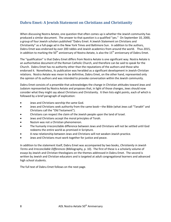# **Dabru Emet: A Jewish Statement on Christians and Christianity**

When discussing Nostra Aetate, one question that often comes up is whether the Jewish community has produced a similar document. The answer to that question is a qualified "yes." On September 10, 2000, a group of four Jewish scholars published "Dabru Emet: A Jewish Statement on Christians and Christianity" as a full-page ad in the New York Times and Baltimore Sun. In addition to the authors, Dabru Emet was endorsed by over 200 rabbis and Jewish academics from around the world. Thus 2015, in addition to marking the  $50<sup>th</sup>$  anniversary of Nostra Aetate, is also the 15<sup>th</sup> anniversary of Dabru Emet.

The "qualification" is that Dabru Emet differs from Nostra Aetate is one significant way. Nostra Aetate is an authoritative document of the Roman Catholic Church, and therefore can be said to speak for the Church. Dabru Emet has no authority other than the reputations of the authors and those who endorsed it. Nonetheless, its publication was heralded as a significant development in Jewish-Christian relations. Nostra Aetate was mean to be definitive, Dabru Emet, on the other hand, represented only the opinion of its authors and was intended to provoke conversation within the Jewish community.

Dabru Emet consists of a preamble that acknowledges the change in Christian attitudes toward Jews and Judaism represented by Nostra Aetate and proposes that, in light of those changes, Jews should now consider what they might say about Christians and Christianity. It then lists eight points, each of which is followed by a brief paragraph of explication:

- Jews and Christians worship the same God.
- Jews and Christians seek authority from the same book—the Bible (what Jews call "Tanakh" and Christians call the "Old Testament").
- Christians can respect the claim of the Jewish people upon the land of Israel.
- Jews and Christians accept the moral principles of Torah.
- Nazism was not a Christian phenomenon.
- The humanly irreconcilable difference between Jews and Christians will not be settled until God redeems the entire world as promised in Scripture.
- A new relationship between Jews and Christians will not weaken Jewish practice.
- Jews and Christians must work together for justice and peace.

In addition to the statement itself, Dabru Emet was accompanied by two books, *Christianity in Jewish Terms* and *Irreconcilable Differences* (Bibliography, p. 10). The first of these is a scholarly volume of essays by Jewish and Christian theologians on the themes addressed in Dabru Emet. The second is written by Jewish and Christian educators and is targeted at adult congregational learners and advanced high school students.

The full text of Dabru Emet follows on the next page.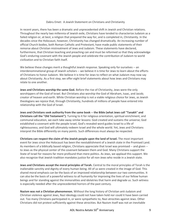#### Dabru Emet: A Jewish Statement on Christians and Christianity

In recent years, there has been a dramatic and unprecedented shift in Jewish and Christian relations. Throughout the nearly two millennia of Jewish exile, Christians have tended to characterize Judaism as a failed religion or, at best, a religion that prepared the way for, and is completed in, Christianity. In the decades since the Holocaust, however, Christianity has changed dramatically. An increasing number of official Church bodies, both Roman Catholic and Protestant, have made public statements of their remorse about Christian mistreatment of Jews and Judaism. These statements have declared, furthermore, that Christian teaching and preaching can and must be reformed so that they acknowledge God's enduring covenant with the Jewish people and celebrate the contribution of Judaism to world civilization and to Christian faith itself.

We believe these changes merit a thoughtful Jewish response. Speaking only for ourselves -- an interdenominational group of Jewish scholars -- we believe it is time for Jews to learn about the efforts of Christians to honor Judaism. We believe it is time for Jews to reflect on what Judaism may now say about Christianity. As a first step, we offer eight brief statements about how Jews and Christians may relate to one another.

**Jews and Christians worship the same God.** Before the rise of Christianity, Jews were the only worshippers of the God of Israel. But Christians also worship the God of Abraham, Isaac, and Jacob; creator of heaven and earth. While Christian worship is not a viable religious choice for Jews, as Jewish theologians we rejoice that, through Christianity, hundreds of millions of people have entered into relationship with the God of Israel.

**Jews and Christians seek authority from the same book -- the Bible (what Jews call "Tanakh" and Christians call the "Old Testament").** Turning to it for religious orientation, spiritual enrichment, and communal education, we each take away similar lessons: God created and sustains the universe; God established a covenant with the people Israel, God's revealed word guides Israel to a life of righteousness; and God will ultimately redeem Israel and the whole world. Yet, Jews and Christians interpret the Bible differently on many points. Such differences must always be respected.

**Christians can respect the claim of the Jewish people upon the land of Israel.** The most important event for Jews since the Holocaust has been the reestablishment of a Jewish state in the Promised Land. As members of a biblically based religion, Christians appreciate that Israel was promised -- and given - to Jews as the physical center of the covenant between them and God. Many Christians support the State of Israel for reasons far more profound than mere politics. As Jews, we applaud this support. We also recognize that Jewish tradition mandates justice for all non-Jews who reside in a Jewish state.

**Jews and Christians accept the moral principles of Torah.** Central to the moral principles of Torah is the inalienable sanctity and dignity of every human being. All of us were created in the image of God. This shared moral emphasis can be the basis of an improved relationship between our two communities. It can also be the basis of a powerful witness to all humanity for improving the lives of our fellow human beings and for standing against the immoralities and idolatries that harm and degrade us. Such witness is especially needed after the unprecedented horrors of the past century.

**Nazism was not a Christian phenomenon.** Without the long history of Christian anti-Judaism and Christian violence against Jews, Nazi ideology could not have taken hold nor could it have been carried out. Too many Christians participated in, or were sympathetic to, Nazi atrocities against Jews. Other Christians did not protest sufficiently against these atrocities. But Nazism itself was not an inevitable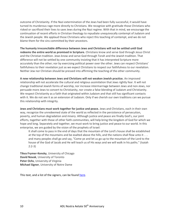outcome of Christianity. If the Nazi extermination of the Jews had been fully successful, it would have turned its murderous rage more directly to Christians. We recognize with gratitude those Christians who risked or sacrificed their lives to save Jews during the Nazi regime. With that in mind, we encourage the continuation of recent efforts in Christian theology to repudiate unequivocally contempt of Judaism and the Jewish people. We applaud those Christians who reject this teaching of contempt, and we do not blame them for the sins committed by their ancestors.

**The humanly irreconcilable difference between Jews and Christians will not be settled until God redeems the entire world as promised in Scripture.** Christians know and serve God through Jesus Christ and the Christian tradition. Jews know and serve God through Torah and the Jewish tradition. That difference will not be settled by one community insisting that it has interpreted Scripture more accurately than the other; nor by exercising political power over the other. Jews can respect Christians' faithfulness to their revelation just as we expect Christians to respect our faithfulness to our revelation. Neither Jew nor Christian should be pressed into affirming the teaching of the other community.

**A new relationship between Jews and Christians will not weaken Jewish practice.** An improved relationship will not accelerate the cultural and religious assimilation that Jews rightly fear. It will not change traditional Jewish forms of worship, nor increase intermarriage between Jews and non-Jews, nor persuade more Jews to convert to Christianity, nor create a false blending of Judaism and Christianity. We respect Christianity as a faith that originated within Judaism and that still has significant contacts with it. We do not see it as an extension of Judaism. Only if we cherish our own traditions can we pursue this relationship with integrity.

**Jews and Christians must work together for justice and peace.** Jews and Christians, each in their own way, recognize the unredeemed state of the world as reflected in the persistence of persecution, poverty, and human degradation and misery. Although justice and peace are finally God's, our joint efforts, together with those of other faith communities, will help bring the kingdom of God for which we hope and long. Separately and together, we must work to bring justice and peace to our world. In this enterprise, we are guided by the vision of the prophets of Israel:

It shall come to pass in the end of days that the mountain of the Lord's house shall be established at the top of the mountains and be exalted above the hills, and the nations shall flow unto it . . . and many peoples shall go and say, "Come ye and let us go up to the mountain of the Lord to the house of the God of Jacob and He will teach us of His ways and we will walk in his paths." (Isaiah 2:2-3)

**Tikva Frymer-Kensky**, University of Chicago **David Novak**, University of Toronto **Peter Ochs**, University of Virginia **Michael Signer**, University of Notre Dame

This text, and a list of the signers, can be foun[d here.](http://www.bc.edu/content/dam/files/research_sites/cjl/texts/cjrelations/resources/documents/jewish/dabru_emet.htm)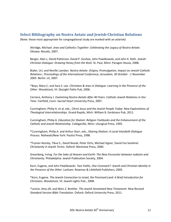# <span id="page-11-0"></span>**Select Bibliography on Nostra Aetate and Jewish-Christian Relations**

(Note: those most appropriate for congregational study are marked with an asterisk)

Attridge, Michael. *Jews and Catholics Together: Celebrating the Legacy of Nostra Aetate*. Ottawa: Novalis, 2007.

Berger, Alan L, David Patterson, David P. Gushee, John Pawlikowski, and John K. Roth. *Jewish-Christian Dialogue: Drawing Honey from the Rock*. St. Paul, Minn: Paragon House, 2008.

Bialer, Uri, and Neville Lamdan. *Nostra Aetate: Origins, Promulgation, Impact on Jewish-Catholic Relations ; Proceedings of the International Conference, Jerusalem, 30 October - 1 November 2005*. Berlin: Lit, 2007.

\*Boys, Mary C, and Sara S. Lee. *Christians & Jews in Dialogue: Learning in the Presence of the Other*. Woodstock, Vt: SkyLight Paths Pub, 2006.

Cernera, Anthony J. *Examining Nostra Aetate After 40 Years: Catholic-Jewish Relations in Our Time*. Fairfield, Conn: Sacred Heart University Press, 2007.

Cunningham, Philip A. et al, eds., *Christ Jesus and the Jewish People Today: New Explorations of Theological Interrelationships*. Grand Rapids, Mich: William B. Eerdmans Pub, 2011.

Cunningham, Philip A. *Education for Shalom: Religion Textbooks and the Enhancement of the Catholic and Jewish Relationship*. Collegeville, Minn: Liturgical Press, 1995.

\*Cunningham, Philip A. and Arthur Starr, eds., *Sharing Shalom: A Local Interfaith Dialogue Process.* Mahwah/New York: Paulist Press, 1998.

\*Frymer-Kensky, Tikva S., David Novak, Peter Ochs, Michael Signer, David Fox Sandmel. *Christianity in Jewish Terms*. Oxford: Westview Press, 2000.

Greenberg, Irving. *For the Sake of Heaven and Earth: The New Encounter between Judaism and Christianity*. Philadelphia: Jewish Publication Society, 2004.

Korn, Eugene, and John Pawlikowski. *Two Faiths, One Covenant?: Jewish and Christian Identity in the Presence of the Other*. Lanham: Rowman & Littlefield Publishers, 2005.

\*Korn, Eugene. *The Jewish Connection to Israel, the Promised Land: A Brief Introduction for Christians*. Woodstock, Vt: Jewish Lights Pub., 2008.

\*Levine, Amy-Jill, and Marc Z. Brettler. *The Jewish Annotated New Testament: New Revised Standard Version Bible Translation*. Oxford: Oxford University Press, 2011.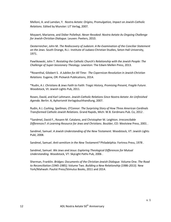Melloni, A. and Lamdan, Y. *Nostra Aetate: Origins, Promulgation, Impact on Jewish-Catholic Relations*. Edited by Munster: LIT Verlag, 2007.

Moyaert, Marianne, and Didier Pollefeyt. *Never Revoked: Nostra Aetate As Ongoing Challenge for Jewish-Christian Dialogue*. Leuven: Peeters, 2010.

Oesterreicher, John M. *The Rediscovery of Judaism: A Re-Examination of the Conciliar Statement on the Jews*. South Orange, N.J.: Institute of Judaeo-Christian Studies, Seton Hall University, 1971.

Pawlikowski, John T. *Restating the Catholic Church's Relationship with the Jewish People: The Challenge of Super-Sessionary Theology*. Lewiston: The Edwin Mellen Press, 2013.

\*Rosenthal, Gilobert S. *A Jubilee for All Time: The Copernican Revolution in Jewish-Christian Relations.* Eugene, OR: Pickwick Publications, 2014.

\*Rudin, A J. *Christians & Jews Faith to Faith: Tragic History, Promising Present, Fragile Future*. Woodstock, Vt: Jewish Lights Pub, 2011.

Rosen, David, and Karl Lehmann. *Jewish-Catholic Relations Since Nostra Aetate: An Unfinished Agenda*. Berlin: A, AphorismA Verlagsbuchhandlung, 2007.

Rudin, A J. *Cushing, Spellman, O'Connor: The Surprising Story of How Three American Cardinals Transformed Catholic-Jewish Relations*. Grand Rapids, Mich: W.B. Eerdmans Pub. Co, 2012 .

\*Sandmel, David F., Rosann M. Catalano, and Christopher M. Leighton. *Irreconcilable Differences?: A Learning Resource for Jews and Christians*. Boulder, CO: Westview Press, 2001 .

Sandmel, Samuel. *A Jewish Understanding of the New Testament*. Woodstock, VT: Jewish Lights Publ, 2008.

Sandmel, Samuel. *Anti-semitism in the New Testament?* Philadelphia: Fortress Press, 1978 .

Sandmel, Samuel. *We Jews and Jesus: Exploring Theological Differences for Mutual Understanding*. Woodstock, VT: SkyLight Paths Pub, 2006 .

Sherman, Franklin. *Bridges: Documents of the Christian-Jewish Dialogue*. Volume One. *The Road to Reconciliation (1945-1985);* Volume Two. *Building a New Relationship (1986-2013).* New York/Mahwah: Paulist Press/Stimulus Books, 2011 and 2014.